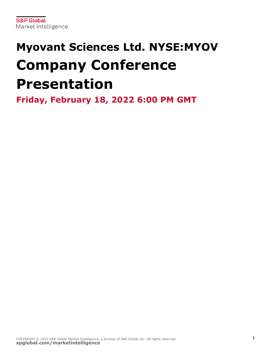# **Myovant Sciences Ltd. NYSE:MYOV Company Conference Presentation**

**Friday, February 18, 2022 6:00 PM GMT**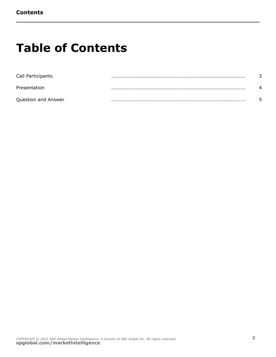#### **Table of Contents**

| Call Participants   |   |  |
|---------------------|---|--|
| Presentation        | . |  |
| Question and Answer |   |  |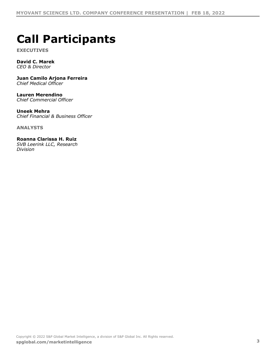## <span id="page-2-0"></span> $\frac{1}{2}$   $\frac{1}{2}$  % ()")  $\frac{1}{2}$  (

 $+$   $\quad$  ,

 $\left| \cdot \right|$ .  $\left| \frac{9}{6} \right|$  &

 $/0!$ \* !#) %1 \*! '%%')%!

 $10\%$ '\* '%'\*.)\*

 $, * " 8" '2 \% !$ 

 $!$  \*\*!  $!$  %) ! 3 0)4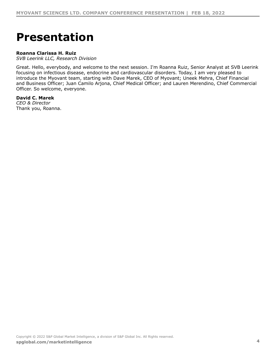## <span id="page-3-0"></span> $\%$  ' ' \* (!() \*

 $!$ <sup>\*\*</sup>! !%) ! 3 0)4

|                                            |                                      |  | $\%$ & $\%$ $\%$ $\frac{1}{2}$ $\frac{1}{2}$ $\frac{1}{2}$ $\frac{1}{2}$ $\frac{1}{2}$ $\frac{1}{2}$ $\frac{1}{2}$ $\frac{1}{2}$ $\frac{1}{2}$ $\frac{1}{2}$ $\frac{1}{2}$ $\frac{1}{2}$ $\frac{1}{2}$ $\frac{1}{2}$ $\frac{1}{2}$ $\frac{1}{2}$ $\frac{1}{2}$ $\frac{1}{2}$ $\frac{1}{2}$ $\frac{1}{2}$ $\frac{$     |                      | $+$ . $-$ |
|--------------------------------------------|--------------------------------------|--|-----------------------------------------------------------------------------------------------------------------------------------------------------------------------------------------------------------------------------------------------------------------------------------------------------------------------|----------------------|-----------|
|                                            |                                      |  | и производство при политическото на селото на селото на селото на селото на селото на селото на селото на село<br>В селото на селото на селото на селото на селото на селото на селото на селото на селото на селото на селото н                                                                                      |                      |           |
|                                            |                                      |  | a a $\frac{1}{2}$ a $\frac{1}{2}$ $\frac{1}{2}$ $\frac{1}{2}$ $\frac{1}{2}$ $\frac{1}{2}$ $\frac{1}{2}$ $\frac{1}{2}$ $\frac{1}{2}$ $\frac{1}{2}$ $\frac{1}{2}$ $\frac{1}{2}$ $\frac{1}{2}$ $\frac{1}{2}$ $\frac{1}{2}$ $\frac{1}{2}$ $\frac{1}{2}$ $\frac{1}{2}$ $\frac{1}{2}$ $\frac{1}{2}$ $\frac{1}{2}$ $\frac{1$ |                      |           |
|                                            | , ) 1 25) & "6                       |  |                                                                                                                                                                                                                                                                                                                       | $1 \quad 2 \quad -)$ | 8 &       |
|                                            | $1 \quad 1 \quad \% \quad 8 \quad 1$ |  |                                                                                                                                                                                                                                                                                                                       |                      |           |
| $\vert \cdot \rangle$ . $\vert \% \vert$ & |                                      |  |                                                                                                                                                                                                                                                                                                                       |                      |           |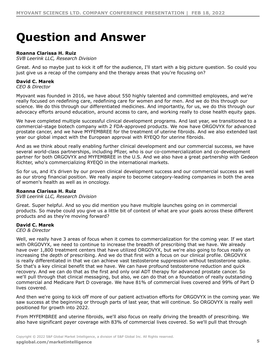#### <span id="page-4-0"></span> $70'$  () \* !\*. \* 8'%

 $!$  \*\*!!%)!3 0)4

 $\begin{array}{cccc} & & 0 & & 0 \\ & & 0 & & 0 \\ 0 & & 0 & & 0 \end{array}$ )  $($  %  $)$  7)  $!$  ) )  $! - )$ .  $! \%$ ' &

 $\begin{array}{ccccccccc} \gamma_{0} & \gamma_{1} & \gamma_{2} & \gamma_{3} & \gamma_{4} & \gamma_{5} & \gamma_{6} & \gamma_{7} & \gamma_{8} & \gamma_{8} & \gamma_{8} & \gamma_{8} & \gamma_{8} & \gamma_{8} & \gamma_{8} & \gamma_{8} & \gamma_{8} & \gamma_{8} & \gamma_{8} & \gamma_{8} & \gamma_{8} & \gamma_{8} & \gamma_{8} & \gamma_{8} & \gamma_{8} & \gamma_{8} & \gamma_{8} & \gamma_{8} & \gamma_{8} & \gamma_{8} & \gamma_{8} & \gamma_{8} & \gamma_{8} & \gamma_{8} & \gamma_{8} & \$  $\%$  (  $\rightarrow$  $\begin{matrix}&&&\\ &1&\\ 2&1&\\&&&1\end{matrix}$  $\begin{array}{cccccccccccc} < & & & & & & 8 & & & \\ \times & & & & & & & 8 & & \\ 8 & & & & & & 8 & & \\ 8 & & & & & 8 & & \frac{96}{6} & 4/ & & & \\ & & & & & & & 96 & & 12 & \\ & & & & & & & & 96 & & \\ & & & & & & & & 96 & & 14 & 14 \end{array}$ <u>&</u>  $\frac{0}{0}$ ) ( )<br>  $\frac{1}{\%}$  & ( )<br>  $\frac{9}{6}$  & ( )<br>  $\frac{9}{6}$  |  $\overline{\phantom{a}}$ 

 $!$ \*\*!!%)!3 0)4

& &

 $! - )$ .  $! \% ' 8$ 

 $\lt$  %  $@$ %  $1# 1+=$  %  $9A$  &  $! 1#$ %  $\%$   $\frac{1}{6}$  $\mathbf{I}$  $\begin{array}{ccc} & & \ & \cdot & \ & & \cdot & \ & & \cdot & \ & & \cdot & \ & & \cdot & \ & & \cdot & \ & & \cdot & \end{array}$  $\frac{96}{99}$  ( )  $\%$  $88$  ) &  $\left( \begin{array}{c} 1 \end{array} \right)$ & ) %<br>/ ! < A9B  $CCB$  /  $\begin{array}{c|c}\n\hat{8} & \hat{8}\n\end{array}$  $\begin{matrix} 8 & & \\ & & \end{matrix}$  $\frac{9}{6}$  )  $\frac{9}{6}$  ( 1 # 1 + = > 8  $\qquad$  ! < <br>
) ! 1 # 1 + = > %  $\%$  $\sim 1\%$  $%$ % ( $\%$  ( $\%$  A@B & & 4 &  $=40$  ,  $\#00$  )  $\frac{1}{2}$ )<br>&& ! %( ) <sup>:</sup> <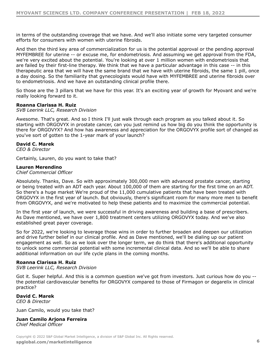| &                                                                                  |                                                                                                                                                                                                                                                                                                                                                                                                                                                                                                                                                     |                                                        | &                                                                                                                                                                                                                                                                                                                      | ) &                                                                               |
|------------------------------------------------------------------------------------|-----------------------------------------------------------------------------------------------------------------------------------------------------------------------------------------------------------------------------------------------------------------------------------------------------------------------------------------------------------------------------------------------------------------------------------------------------------------------------------------------------------------------------------------------------|--------------------------------------------------------|------------------------------------------------------------------------------------------------------------------------------------------------------------------------------------------------------------------------------------------------------------------------------------------------------------------------|-----------------------------------------------------------------------------------|
| &                                                                                  | $\begin{array}{ccccccccccc} \n & \multicolumn{3}{c }{0} & & & \multicolumn{3}{c }{0} & & \multicolumn{3}{c }{0} & & \multicolumn{3}{c }{0} & & \multicolumn{3}{c }{0} & & \multicolumn{3}{c }{0} & & \multicolumn{3}{c }{0} & & \multicolumn{3}{c }{0} & & \multicolumn{3}{c }{0} & & \multicolumn{3}{c }{0} & & \multicolumn{3}{c }{0} & & \multicolumn{3}{c }{0} & & \multicolumn{3}{c }{0} & & \multicolumn{3}{c }{0} & & \multicolumn{3}{c }{0$<br>$\begin{array}{c}\n\downarrow \\ \downarrow \\ \downarrow\n\end{array}$<br>$\frac{1}{2}$ " % |                                                        | $\mathbf{I}$                                                                                                                                                                                                                                                                                                           | $\begin{matrix}8 & 4 \end{matrix}$ "<br>& 9                                       |
|                                                                                    | $\%$<br>$^\text{\textregistered}$<br>%<br>$\sim$ $\sim$ $\sim$ $\sim$ $\sim$                                                                                                                                                                                                                                                                                                                                                                                                                                                                        |                                                        | $\frac{1}{2}$ ( $\frac{1}{2}$ ) $\frac{1}{2}$ $\frac{1}{2}$ $\frac{1}{2}$ $\frac{1}{2}$ $\frac{1}{2}$ $\frac{1}{2}$ $\frac{1}{2}$ $\frac{1}{2}$ $\frac{1}{2}$ $\frac{1}{2}$ $\frac{1}{2}$ $\frac{1}{2}$ $\frac{1}{2}$ $\frac{1}{2}$ $\frac{1}{2}$ $\frac{1}{2}$ $\frac{1}{2}$ $\frac{1}{2}$ $\frac{1}{2}$ $\frac{1}{2$ | % (                                                                               |
| $!$ **!!%)! 3 0)4                                                                  |                                                                                                                                                                                                                                                                                                                                                                                                                                                                                                                                                     |                                                        |                                                                                                                                                                                                                                                                                                                        |                                                                                   |
| ) (<br>$! - )$ . $! \% ' 8$                                                        | 9                                                                                                                                                                                                                                                                                                                                                                                                                                                                                                                                                   | $( ) 6$<br>$( ) 9$<br>$( ) 8$<br>$\boldsymbol{\alpha}$ |                                                                                                                                                                                                                                                                                                                        |                                                                                   |
| $10\%$ '* '%'*.)*                                                                  | $- )$ ) %                                                                                                                                                                                                                                                                                                                                                                                                                                                                                                                                           | 8                                                      |                                                                                                                                                                                                                                                                                                                        |                                                                                   |
|                                                                                    |                                                                                                                                                                                                                                                                                                                                                                                                                                                                                                                                                     |                                                        | 8 <sub>1</sub><br>$8^{+8^{*}}$                                                                                                                                                                                                                                                                                         | $^{\prime}$ / .!<br>8 <sub>1</sub><br>$\%$<br>& &<br>$\&$<br>$\frac{1}{2}$<br>& & |
|                                                                                    |                                                                                                                                                                                                                                                                                                                                                                                                                                                                                                                                                     |                                                        |                                                                                                                                                                                                                                                                                                                        | $\langle 1 \rangle$                                                               |
| % (<br>$\&$<br>$\big)$<br>$!$ **!!%) ! 3 0)4                                       | $\sum_{i=1}^{n}$                                                                                                                                                                                                                                                                                                                                                                                                                                                                                                                                    |                                                        |                                                                                                                                                                                                                                                                                                                        | ) ) $*$<br>$\begin{matrix}&&&&\\&&1&&\\&&&1&\\&&&&&\end{matrix}$                  |
| $\overline{\mathbf{8}}$<br>$\left  \cdot \right $ . $\left  \frac{9}{6} \right $ & | $\left( \begin{array}{cc} 1 & 0 \\ 0 & 1 \end{array} \right)$ $\left( \begin{array}{cc} 1 & 0 \\ 0 & 1 \end{array} \right)$                                                                                                                                                                                                                                                                                                                                                                                                                         |                                                        | & & 7) % ( & 15) ) %<br>1# 1+=> & 4 & '                                                                                                                                                                                                                                                                                |                                                                                   |
|                                                                                    | 5) $8 \t%$ ) $8$<br>$/0!$ * !#) %1 *! '%%')%!                                                                                                                                                                                                                                                                                                                                                                                                                                                                                                       |                                                        |                                                                                                                                                                                                                                                                                                                        |                                                                                   |

 $\mathbb{R}^n \times \#$  . The set of  $\mathbb{R}^n$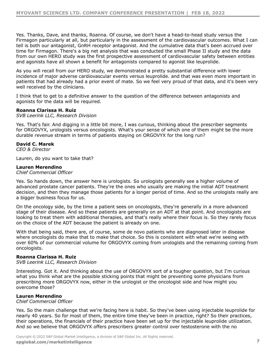| $\begin{pmatrix} 1 & 1 & 1 \\ 0 & 1 & 1 \\ 0 & 1 & 1 \end{pmatrix}$<br>48<br>$\alpha$<br>$\begin{array}{ccccccccc} 8 & & 4 & 8 & &   & . & ( & & \ & & 8 & ) & \% & \$\,0\#1 & ) & \% \end{array}$<br>%   | $\begin{matrix} 1 \ 8 \end{matrix}$<br>&                                                                                                                      | $8 \mid <$<br>$\%$<br>$\overline{)}$                         |
|-----------------------------------------------------------------------------------------------------------------------------------------------------------------------------------------------------------|---------------------------------------------------------------------------------------------------------------------------------------------------------------|--------------------------------------------------------------|
| " ) % & ) $$0#1$ ) %<br>& 6<br>$\%$<br>%<br>%                                                                                                                                                             | &<br>$\begin{pmatrix} 1 \\ 1 \end{pmatrix}$<br>) )<br>$\boldsymbol{\alpha}$<br>$\frac{1}{2}$ %<br>$\left( 7\right)$<br>%<br>7) !                              | $\%$ $\%$<br>$8 - 8$<br>$\%$<br>&<br>$\%$                    |
| $!$ **!!%) ! 3 0)4<br>$\frac{1}{2}$ . $\frac{1}{6}$ % &                                                                                                                                                   |                                                                                                                                                               | 8 <sub>1</sub><br>$\&$                                       |
| $- )$ ) %<br>8<br>$10\%$ '* '%'*.)*                                                                                                                                                                       |                                                                                                                                                               |                                                              |
| $=$ !<br>$\%$<br>%<br>$\begin{pmatrix} 1 & 1 \\ 1 & 1 \end{pmatrix}$<br>&<br>$\rightarrow$ !<br>$\mathbf{1}$<br>$\pmb{8}$<br>$\sim1$ $^{\prime\prime}$<br>& %<br>$"$ / $% \mathcal{N}$ .<br>$\mathcal{E}$ | $\begin{array}{ccccc} & & & \\ & & & \\ & & \gamma_0 & \\ & & \gamma_0 & \\ & & & \end{array} \quad \  ) \quad \  )$<br>$\&$<br>$^{\prime\prime}$ / .<br>$\%$ | $^{\prime\prime}$ ) &<br>$\&$<br>$8!$ $"$<br>&<br>$1$ " $\,$ |
| $!$ **! $!$ %) ! 3 0)4                                                                                                                                                                                    |                                                                                                                                                               |                                                              |
| $10\%$ '* '%'*.)*                                                                                                                                                                                         |                                                                                                                                                               |                                                              |
| $10\%$ $\sim$ .,<br>$=$ $\frac{1}{2}$ & $\frac{1}{8}$ % ( $\frac{1}{8}$ ( $\frac{1}{8}$ ) 6 )<br>$\frac{1}{8}$ 9% ( $\frac{1}{8}$ ) 6 )<br>$\frac{1}{8}$ 9%                                               |                                                                                                                                                               |                                                              |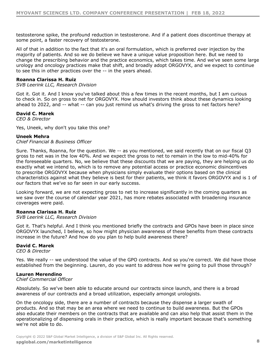| $\alpha$                                                                                                                                                                                                                                                                                                                                                                                                                                                                                                                                                        | $\big)$          | $\mathbf{I}$ | $\mathbf{I}$ .                                      |                                                                                                                                                                                                                                                                                                                                                                       |                                                                                                                                                                                                                                                                                                                                                                |
|-----------------------------------------------------------------------------------------------------------------------------------------------------------------------------------------------------------------------------------------------------------------------------------------------------------------------------------------------------------------------------------------------------------------------------------------------------------------------------------------------------------------------------------------------------------------|------------------|--------------|-----------------------------------------------------|-----------------------------------------------------------------------------------------------------------------------------------------------------------------------------------------------------------------------------------------------------------------------------------------------------------------------------------------------------------------------|----------------------------------------------------------------------------------------------------------------------------------------------------------------------------------------------------------------------------------------------------------------------------------------------------------------------------------------------------------------|
| $\mathbf{u} = -\mathbf{v}$<br>$1\,$ $^{\prime\prime}$<br>& 6<br>$\mathcal{L}$                                                                                                                                                                                                                                                                                                                                                                                                                                                                                   | $\%$<br>$\alpha$ |              |                                                     |                                                                                                                                                                                                                                                                                                                                                                       | $\boldsymbol{\alpha}$                                                                                                                                                                                                                                                                                                                                          |
| $!$ **!!%)!3 0)4                                                                                                                                                                                                                                                                                                                                                                                                                                                                                                                                                |                  |              |                                                     |                                                                                                                                                                                                                                                                                                                                                                       |                                                                                                                                                                                                                                                                                                                                                                |
| $\frac{1}{\beta}=\frac{1}{\beta}$ .                                                                                                                                                                                                                                                                                                                                                                                                                                                                                                                             |                  |              | % ) (<br>$1 \# 1 += >! \$$ % )<br>% ) 6 & ) % (     | $8 - 2$                                                                                                                                                                                                                                                                                                                                                               | $\begin{pmatrix} 1 & 0 & 0 \\ 0 & 0 & 0 \\ 0 & 0 & 0 \\ 0 & 0 & 0 \\ 0 & 0 & 0 \\ 0 & 0 & 0 \\ 0 & 0 & 0 \\ 0 & 0 & 0 \\ 0 & 0 & 0 \\ 0 & 0 & 0 & 0 \\ 0 & 0 & 0 & 0 \\ 0 & 0 & 0 & 0 \\ 0 & 0 & 0 & 0 \\ 0 & 0 & 0 & 0 & 0 \\ 0 & 0 & 0 & 0 & 0 \\ 0 & 0 & 0 & 0 & 0 \\ 0 & 0 & 0 & 0 & 0 \\ 0 & 0 & 0 & 0 & 0 & 0 \\ 0 & 0 & $<br>$\boldsymbol{\alpha}$<br>8 |
| $\frac{1}{2}$ . $\frac{1}{6}$ % &                                                                                                                                                                                                                                                                                                                                                                                                                                                                                                                               |                  |              |                                                     |                                                                                                                                                                                                                                                                                                                                                                       |                                                                                                                                                                                                                                                                                                                                                                |
| $3\degree$<br>$($ $)$<br>* ' ' & $\, '$ 2 % !                                                                                                                                                                                                                                                                                                                                                                                                                                                                                                                   |                  | $\, 8$       |                                                     |                                                                                                                                                                                                                                                                                                                                                                       |                                                                                                                                                                                                                                                                                                                                                                |
| ) ! . #<br>% D B ! " % '<br>% 7) ! E %<br>. % % 8<br>1 # 1 + = > 0 % 8<br>.                                                                                                                                                                                                                                                                                                                                                                                                                                                                                     |                  | $\%$         | $\frac{1}{2}$ 8<br>& )                              | %<br>$\&$<br>$\%$                                                                                                                                                                                                                                                                                                                                                     | ? @<br>$\overline{\phantom{a}}$<br>% & D B<br>$\left( \right)$<br>&                                                                                                                                                                                                                                                                                            |
| $\%$ (<br>$\left( \right)$                                                                                                                                                                                                                                                                                                                                                                                                                                                                                                                                      |                  | $\lambda$    | $\overline{\phantom{a}}$ ) $\overline{\phantom{a}}$ | $\%$                                                                                                                                                                                                                                                                                                                                                                  | $1 \# 1 += > 9$                                                                                                                                                                                                                                                                                                                                                |
| $\%$ %<br>%<br>%<br>$\begin{array}{c} \hline \phantom{0}\\ \phantom{0}\\ \phantom{0}\\ \phantom{0}\\ \phantom{0}\\ \phantom{0}\\ \phantom{0}\\ \phantom{0}\\ \phantom{0}\\ \phantom{0}\\ \phantom{0}\\ \phantom{0}\\ \phantom{0}\\ \phantom{0}\\ \phantom{0}\\ \phantom{0}\\ \phantom{0}\\ \phantom{0}\\ \phantom{0}\\ \phantom{0}\\ \phantom{0}\\ \phantom{0}\\ \phantom{0}\\ \phantom{0}\\ \phantom{0}\\ \phantom{0}\\ \phantom{0}\\ \phantom{0}\\ \phantom{0}\\ \phantom{0}\\ \phantom{0}\\ \phantom{0}\\ \phantom{0}\\ \phantom{0}\\ \phantom{0}\\$<br>$\%$ |                  | 9            | $\&$                                                | $\%$                                                                                                                                                                                                                                                                                                                                                                  | &<br>7)                                                                                                                                                                                                                                                                                                                                                        |
| $!$ **!!%)!3 0)4                                                                                                                                                                                                                                                                                                                                                                                                                                                                                                                                                |                  |              |                                                     |                                                                                                                                                                                                                                                                                                                                                                       |                                                                                                                                                                                                                                                                                                                                                                |
|                                                                                                                                                                                                                                                                                                                                                                                                                                                                                                                                                                 |                  |              |                                                     | $\mathbf{1}$<br>$\overline{\phantom{a}}$ 8                                                                                                                                                                                                                                                                                                                            | $\sim$ 8.                                                                                                                                                                                                                                                                                                                                                      |
| $\frac{1}{2}$ - ). $\frac{1}{2}$ % &                                                                                                                                                                                                                                                                                                                                                                                                                                                                                                                            |                  |              |                                                     |                                                                                                                                                                                                                                                                                                                                                                       |                                                                                                                                                                                                                                                                                                                                                                |
| $=$ $\frac{1}{2}$ ( $\frac{1}{8}$ ( $\frac{1}{8}$ ) ( $\frac{1}{8}$ ) ( $\frac{1}{8}$ ) ( $\frac{1}{8}$ ) ( $\frac{1}{8}$ ) ( $\frac{1}{8}$ ) ( $\frac{1}{8}$ ) ( $\frac{1}{8}$ ) ( $\frac{1}{8}$ ) ( $\frac{1}{8}$ ) ( $\frac{1}{8}$ ) ( $\frac{1}{8}$ ) ( $\frac{1}{8}$ ) ( $\frac{1}{8}$ )<br>$10\%$ '* '%'*.)*                                                                                                                                                                                                                                              |                  |              |                                                     |                                                                                                                                                                                                                                                                                                                                                                       | $\begin{array}{c} \circ \\ \circ \end{array}$                                                                                                                                                                                                                                                                                                                  |
|                                                                                                                                                                                                                                                                                                                                                                                                                                                                                                                                                                 |                  |              |                                                     |                                                                                                                                                                                                                                                                                                                                                                       |                                                                                                                                                                                                                                                                                                                                                                |
|                                                                                                                                                                                                                                                                                                                                                                                                                                                                                                                                                                 |                  |              |                                                     |                                                                                                                                                                                                                                                                                                                                                                       |                                                                                                                                                                                                                                                                                                                                                                |
| $\begin{array}{c} 1 \\ 1 \\ 1 \end{array}$<br>$\begin{array}{c} 1 \\ 1 \\ 1 \end{array}$<br>$\begin{array}{c} 2 \\ 1 \end{array}$<br>$\begin{array}{c} 2 \\ 1 \end{array}$                                                                                                                                                                                                                                                                                                                                                                                      |                  |              |                                                     | $(1)$ $\begin{array}{ccccccccc} & & & & & & & \ 8 & & & & & & \ 96 & & 96 & & & & \ 1 & 1 & & & & \ 1 & 1 & & & & \ 1 & 1 & & & & \ 1 & 1 & & & \ 1 & 1 & & & \ 1 & 1 & & & \ 1 & 1 & & & \ 1 & 1 & & & \ 1 & 1 & & & \ 1 & 1 & & & \ 1 & 1 & & & \ 1 & 1 & & & \ 1 & 1 & & & \ 1 & 1 & & & \ 1 & 1 & & & \ 1 & 1 & & & \ 1 & 1 & & & \ 1 & 1 & & & \ 1 & 1 & & & \ $ |                                                                                                                                                                                                                                                                                                                                                                |
|                                                                                                                                                                                                                                                                                                                                                                                                                                                                                                                                                                 |                  |              |                                                     |                                                                                                                                                                                                                                                                                                                                                                       |                                                                                                                                                                                                                                                                                                                                                                |

 $\mathbb{R}^n \times \#$  . The set of  $\mathbb{R}^n$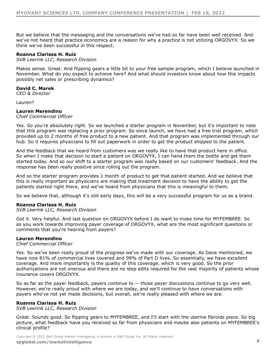| , ) %<br>$\%$ ( $\%$ (<br>$\overline{\phantom{a}}$<br>$!$ **! $!$ %) ! 3                                                                                                                         | &<br>$\pmb{8}$<br>$\overline{\phantom{a}}$<br>0)4                               | $\pmb{\cdot}$                                                                 | % (<br>$\%$                                                      | $\frac{\%}{1}$ $\frac{!}{1}$ $\frac{!}{1}$ $\frac{!}{1}$ $\frac{!}{1}$ $\frac{!}{1}$ $\frac{!}{1}$ $\frac{!}{1}$ $\frac{!}{1}$ $\frac{!}{1}$ $\frac{!}{1}$ $\frac{!}{1}$ $\frac{!}{1}$ $\frac{!}{1}$ $\frac{!}{1}$ $\frac{!}{1}$ $\frac{!}{1}$ $\frac{!}{1}$ $\frac{!}{1}$ $\frac{!}{1}$ $\frac{!}{1}$ $\frac{!}{1}$                                    |                                                                                         |
|--------------------------------------------------------------------------------------------------------------------------------------------------------------------------------------------------|---------------------------------------------------------------------------------|-------------------------------------------------------------------------------|------------------------------------------------------------------|---------------------------------------------------------------------------------------------------------------------------------------------------------------------------------------------------------------------------------------------------------------------------------------------------------------------------------------------------------|-----------------------------------------------------------------------------------------|
| $\mathbf{I}$<br>$E$ & $1 <$<br>$\overline{\phantom{a}}$ ) $\overline{\phantom{a}}$<br>$\frac{1}{2}$   %   &                                                                                      | $1$ " $\sim$                                                                    | )<br>%<br>$8$ " $\,$<br>8<br>&                                                | 8 <sup>8</sup><br>$\overline{)}$                                 | & % $\frac{\%}{\%}$<br>$\mathcal{L}$<br>$\%$                                                                                                                                                                                                                                                                                                            | $\frac{1}{8}$                                                                           |
| $ )$ 8<br>$10\%$ '* '%'*.)*                                                                                                                                                                      |                                                                                 |                                                                               |                                                                  |                                                                                                                                                                                                                                                                                                                                                         |                                                                                         |
| $)(\begin{array}{c} 0 \\ 0 \\ 0 \end{array}$<br>$=$ !<br>$)$ &<br>$)$ !<br>7)<br>$0.0000\,\mathrm{m}$<br>$\%$<br>$\&$<br>$\sim1$ "                                                               | $\sim 10^{-11}$<br>$\left\langle \right\rangle$<br>$\%$<br>$\pmb{8}$<br>$\big)$ | $\%$ )<br>8!<br>%<br>%<br>$\%$ $\%$<br>&<br>$\rightarrow$<br>$1# 1 +=$<br>& % | 8 <sub>1</sub><br>E<br>$\%$<br>$\left  \cdot \right $            | &<br>$\left( \right)$<br>(8)<br>& %<br>$\pmb{\&}$<br>$\pmb{\&}$<br>$\&$<br>$\mathcal{L}$<br>$\big)$<br>&<br>$\sqrt{ }$                                                                                                                                                                                                                                  | & %<br>$\rightarrow$<br>$\sum_{i=1}^{n}$<br>$\mathbf{I}$<br>$\frac{1}{8}$<br>$\Gamma$ . |
| $\sf H$<br>$\&$<br>$\%$<br>$!$ * * !<br>$! \%$ ) $! 3$                                                                                                                                           | $\&$<br>9 &<br>$%$ (<br>$\overline{(\ }$<br>$\left( \right)$<br>0)4             | )<br>$\overline{\phantom{a}}$<br>$\sim$ 8<br>$\boldsymbol{\&}$<br>$\%$        | &!<br>$\pmb{\&}$                                                 | $\Gamma$ .<br>$\%$<br>&<br>&!<br>$\overline{)}$<br>$\infty$<br>$\rightarrow$<br>$\lambda$                                                                                                                                                                                                                                                               | $\mathbf{I}$                                                                            |
| $\left( \begin{array}{c} \end{array} \right)$ $\left[ \begin{array}{c} \end{array} \right]$<br>$! +$<br>$%$ &<br>) %<br>$8.8$ $)(\begin{array}{ccc} 2 & 8 & 8 \end{array}$<br>$: 0\%$ '* '%'*.)* |                                                                                 |                                                                               | 7) $1 \# 1 += >$ % &<br>$1 \# 1 += > %$ &                        | &                                                                                                                                                                                                                                                                                                                                                       | $=40$ , #00!<br>7)                                                                      |
| $\%$ (<br>$=$ $\frac{1}{2}$<br>$% A9B$ & &<br>$\mathbf{R}$ $\mathbf{R}$ $\mathbf{R}$<br>$\star$<br>$\,$ $)$<br>$\rightarrow$                                                                     | $1# 1 += >!$                                                                    | $\begin{array}{c} \% \ \text{CCB} \end{array}$<br>8 <sup>8</sup><br>7)        | $\begin{bmatrix} 9/6 & 1 \end{bmatrix}$<br>$\sqrt{2}$<br>%<br>7) | $\frac{1}{2}$ $\frac{1}{2}$ $\frac{1}{2}$ $\frac{1}{2}$ $\frac{1}{2}$ $\frac{1}{2}$ $\frac{1}{2}$ $\frac{1}{2}$ $\frac{1}{2}$ $\frac{1}{2}$ $\frac{1}{2}$ $\frac{1}{2}$ $\frac{1}{2}$ $\frac{1}{2}$ $\frac{1}{2}$ $\frac{1}{2}$ $\frac{1}{2}$ $\frac{1}{2}$ $\frac{1}{2}$ $\frac{1}{2}$ $\frac{1}{2}$ $\frac{1}{2}$<br>&<br>$\%$<br>$\mathbf{I}$<br>& 6 | $\%$<br>$\sim$ 1.<br>$\%$                                                               |
| $$ \%$ % (<br>$%$ (<br>$!$ **! $!$ %) ! 3 0) 4                                                                                                                                                   | $\%$<br>) $\%$<br>$\alpha$                                                      | $\%$<br>$% \left( \left( \delta \right) \right)$ % (                          | % $($<br>$\%$                                                    | $\%$<br>$\pmb{\mathsf{l}}$<br>$\%$                                                                                                                                                                                                                                                                                                                      | $%$ !<br>$\%$                                                                           |
| $\lambda$<br>$\%$<br>8                                                                                                                                                                           | $\mathcal{E}$                                                                   | $\pmb{8}$                                                                     | $= 40$ , #00<br>$\&$<br>$\pm$ " $-$ #<br>Ţ                       | %                                                                                                                                                                                                                                                                                                                                                       | $=40$ , #00(                                                                            |

 $\mathbf{I}$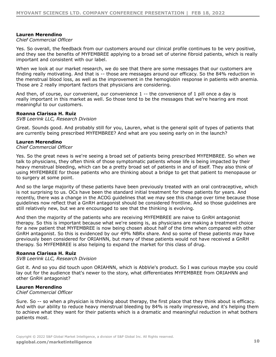| $10\%$ '* '%'*.)*                                                                                                                                                                                                                                                                                                                                                                                                                                                |                                                         |                                         |                                                                |              |
|------------------------------------------------------------------------------------------------------------------------------------------------------------------------------------------------------------------------------------------------------------------------------------------------------------------------------------------------------------------------------------------------------------------------------------------------------------------|---------------------------------------------------------|-----------------------------------------|----------------------------------------------------------------|--------------|
| $=$ !                                                                                                                                                                                                                                                                                                                                                                                                                                                            | & ) ) &<br>$\left( \right)$<br>$=40^\circ$ , $\#00$     |                                         |                                                                | $\%$         |
| $\boldsymbol{\alpha}$<br>$\%$<br>$\%$<br>$)$ &<br>$\prec$<br>$\pm$ "<br>&<br>$\&$<br>$\%$<br>$\&$                                                                                                                                                                                                                                                                                                                                                                | $\%$<br>$\pmb{8}$<br>$\&$<br>&                          | & &<br>)<br>&                           | &<br>ADB<br>Ţ<br>$\%$                                          | &!           |
| $)$ )<br>&<br>$\sim$ 8<br>&<br>$\boldsymbol{\alpha}$<br>$\left( \begin{array}{cc} 1 & 1 \end{array} \right)$<br>$!$ **! $!$ %) ! 3 0) 4                                                                                                                                                                                                                                                                                                                          | $\boldsymbol{9}$<br>%<br>$\mathbf{I}$                   | $\&$                                    | $\frac{9}{\%}$ (<br>$\&$                                       |              |
| $\pm$ "<br>$10\%$ '* '%'*.)*                                                                                                                                                                                                                                                                                                                                                                                                                                     | $=40$ , #008 " %                                        | $\%$                                    | 8                                                              |              |
| % (<br>%<br>$=$ !<br>%<br>8)<br>$=40\phantom{a}$ , $\#00$<br>$\&$                                                                                                                                                                                                                                                                                                                                                                                                | &<br>$\&$<br>$\%$                                       | $\%$                                    | $=40$ , #00!<br>$\%$<br>&<br>Ι.                                | $\%$<br>$\&$ |
| $\pmb{\shortparallel}$<br>& 6<br>) 11<br>$\%$<br>%<br>% )<br>$\%$                                                                                                                                                                                                                                                                                                                                                                                                | $"$ 1<br># $\frac{4}{5}$                                | $\%$<br>$\boldsymbol{\alpha}$<br>$\%$ & | ŗ"<br>&<br>Ţ                                                   | $\%$         |
| $\mathbf{H}$<br>& 6<br>&<br>$\%$<br>$!$ **! $!$ %) ! 3 0) 4                                                                                                                                                                                                                                                                                                                                                                                                      | $\%$<br>% (<br>$\%$<br>$=40\phantom{a} ,\,\#00$<br>$\%$ | $=40, #00$                              | #\$<br>&<br>&<br>$\pmb{8}$<br>$\%$<br>$\frac{1}{2}$ % &<br>#\$ | $\%$<br>&    |
| $\begin{array}{ccccccccc} ! & & & & & & & \\ ! & & & & & & & \\ 0 & & & & & & & \\ 0 & & & & & & \\ 0 & & & & & & \\ 0 & & & & & & \\ 0 & & & & & & \\ 0 & & & & & & \\ 0 & & & & & & \\ 0 & & & & & & \\ 0 & & & & & & \\ 0 & & & & & & \\ 0 & & & & & & \\ 0 & & & & & & \\ 0 & & & & & & \\ 0 & & & & & & \\ 0 & & & & & & \\ 0 & & & & & & \\ 0 & & & & & & \\ 0 & & & & & & \\ 0 & & & & & & \\ 0 & & & & & & \\ 0 & & & & & & \\ 0 &$<br>$10\%$ '* '%'*.)* |                                                         |                                         |                                                                |              |
| & !                                                                                                                                                                                                                                                                                                                                                                                                                                                              |                                                         |                                         |                                                                | $\&$         |

 $\,$  )  $\,$ 

 $\Gamma$  "  $\equiv$  #  $\,$  $\sim 1$  $\frac{1}{2}$  " # \$ # ! % & ' ( ) \* ( ' ) '\* "'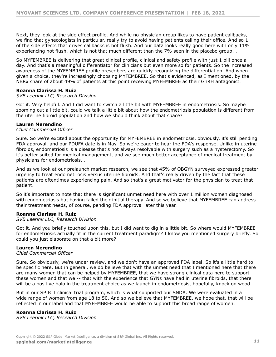$E^{-1}$  $\frac{1}{2}$  "  $\frac{1}{2}$  $\overline{\phantom{a}}$  $\%$  $\begin{array}{cc} & \vdots \text{ ''} & \text{ 9} \\ \text{ \% } & \text{ 99B} \end{array}$  $\overline{)}$  $\begin{array}{c} \begin{array}{cccc} \circ & \circ & \circ \\ \circ & \circ & \circ \end{array} & \begin{array}{c} \circ & \circ & \circ \\ \circ & \circ & \circ \end{array} \end{array}$  $\frac{1}{2}$  (  $\frac{1}{2}$  )  $\frac{9}{6}$  $\begin{pmatrix} 1 & 1 \\ 0 & 1 \end{pmatrix}$ **FB**  $=40$  , #00<br>
! " ( & )<br>
%  $=40$  , #00<br>
E , # ' ) D C B  $% 69$  $\frac{1}{8}$  | " %  $\begin{array}{c} \n \begin{array}{c} \n \text{7} \\
 \end{array} \\
 \end{array}$ &  $\hbox{\tt _*}$  $\begin{pmatrix} 7 \\ -40 \end{pmatrix}$  , #00!  $\overline{a}$  $# $$  $= 40, #00$  $!$ \*\*!!%)!3 0)4  $\begin{array}{ccccccc} \gamma_6 & & \gamma_6 & = &40 & ,\; \#00 & & \& & \beta_6 & \gamma_6 & \gamma_7 & \gamma_8 & & \gamma_8 & \gamma_9 & \gamma_8 & & \gamma_9 & & \gamma_8 & & \gamma_8 & \gamma_9 & & \gamma_9 & & \gamma_9 & & \delta_9 & \gamma_9 & & \delta_9 & & \gamma_9 & & \delta_9 & & \gamma_9 & & \delta_9 & & \gamma_9 & & \delta_9 & & \gamma_9 & & \delta_9 & & \rho_9 & & \rho_9 & & \rho_9 & & \rho_9 & & \rho_9 & & \rho_9 & & \rho_9 & & \rho_9 &$  $\boldsymbol{\alpha}$  $10\%$ '\* '%'\*.)\* ) ! % (  $'$  $\alpha$  $\begin{array}{ccc} & & 8 \\ & & \end{array}$  $\begin{pmatrix} 1 & 0 \\ 0 & 0 \\ 0 & 0 \end{pmatrix}$  $\begin{array}{ccccccccc} & & & & & & & & & \ & & & & & & & & \ \ \mathbf{8} & & & & & & & \ \mathbf{8} & & & & & & \ \end{array}$  $D; B \t1, =E$  )  $\left($  $\mathbf{r}$  $\sim 1$  $(8)$ % 9 & % &<br>% =40 , #00  $\%$   $\frac{8}{8}$  $\begin{array}{cccc} \hspace{-0.6cm} & & & & \hspace{-0.6cm} & & \hspace{-0.6cm} & & \hspace{-0.6cm} & & \hspace{-0.6cm} & & \hspace{-0.6cm} & & \hspace{-0.6cm} & & \hspace{-0.6cm} & & \hspace{-0.6cm} & & \hspace{-0.6cm} & & \hspace{-0.6cm} & & \hspace{-0.6cm} & & \hspace{-0.6cm} & & \hspace{-0.6cm} & & \hspace{-0.6cm} & & \hspace{-0.6cm} & & \hspace{-0.6cm} & & \hspace{-0.6cm} & & \hspace{-0.6cm} & & \hs$  $4/$  "  $!$  \*\*!!  $\frac{1}{6}$  | 3 0)4  $\begin{array}{cccc} & | & & | & & \ & | & & \ 8 & & & & \ 0 & & 8 & & & \ 0 & & 9 & & & \end{array}$  $10\%$ '\* '%'\*.)\*  $%$ 8. % % (8. % )  $\begin{array}{ccc} 8. & 96 & 96 \\ 9A & ; & ! & 96 \\ =40 & , \#00 \% & 96 \end{array}$  (8.  $\begin{array}{ccc} 1. & 96 \\ & ; & 96 \\ & ; & 96 \end{array}$  (8. 8.  $\begin{array}{cccc} \gamma, & & \gamma & & \# & . & \ \gamma_6 & & & \gamma_6 & 8 & & 8. \end{array}$  $% 8$  !  $!$ \*\*!!%)!3 0)4

 $\mathbf{I}$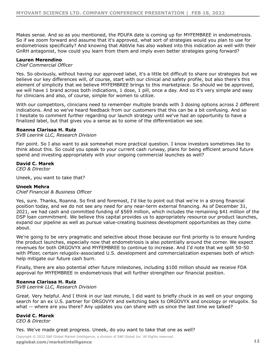$\begin{array}{ccccccccc} & & 8 & & ) & = & 40 & , \; \#00 & & & 8 & & \vdots & & & \ & 6 & & & \ & 96 & & & & \ & 96 & & & & \ & & 96 & & & \end{array}$  $\%$  $\mathbf{8}$ % 8  $10\%$ '\* '%'\*.)\*  $\begin{array}{c} \hline \end{array}$ ) %  $\sqrt{2}$  $\rightarrow$  $\sqrt{2}$  $\leftarrow$  ) &  $\overline{\phantom{a}}$  )  $\overline{\phantom{a}}$   $\overline{\phantom{a}}$   $\overline{\phantom{a}}$   $\overline{\phantom{a}}$   $\overline{\phantom{a}}$   $\overline{\phantom{a}}$   $\overline{\phantom{a}}$   $\overline{\phantom{a}}$   $\overline{\phantom{a}}$   $\overline{\phantom{a}}$   $\overline{\phantom{a}}$   $\overline{\phantom{a}}$   $\overline{\phantom{a}}$   $\overline{\phantom{a}}$   $\overline{\phantom{a}}$   $\overline{\phantom{a}}$   $\overline{\phantom{a}}$   $\over$  $\bigcup$  $!$ \*\*!!%)!3 0)4  $\left( \begin{array}{cc} 0 & 0 \\ 0 & 0 \end{array} \right)$  $\left| \cdot \right|$ .  $\left| \frac{9}{6} \right|$  &  $3 \t) \%$  $\overline{\phantom{a}}$  8  $, * "8" 2\%!$  $\left( \begin{array}{c} 1 \\ 1 \end{array} \right)$  $\frac{1}{2}$ 4  $=40$  , #00  $\begin{array}{cccccc} & & & \rightarrow & \end{array}$  ) &  $\begin{array}{cccccc} & & & \rightarrow & \end{array}$  (39 & ) % 4/ "  $!$ \*\*!!%)!3 0)4  $\begin{array}{cccccccccccc} & | & + & & | & | & " & & | & & \mathbf{8} \\ & | & & | & 3| & | & & | & 4 & 1+ \end{array}$  and  $\begin{array}{cccccccc} & | & | & & | & & \mathbf{8} & | & \mathbf{9} & | & \mathbf{9} & | & \mathbf{9} & | & \mathbf{9} & | & \mathbf{1} & | & \mathbf{1} & \mathbf{1} & \mathbf{1} & \mathbf{1} & \mathbf{1} & \mathbf{1} & \mathbf{1} & \mathbf{1} & \mathbf{1} & \mathbf{1} & \mathbf{1} & \mathbf{1} &$  $! - )$ .  $! \% ' 8$  $=$   $\frac{1}{5}$   $<$   $\frac{8}{13}$   $\frac{1}{3}$   $\frac{9}{13}$  $%8$ 

 $\frac{1}{2}$  "  $\# \$ # ! \% @ ( ) * ( ' )$  '\*"'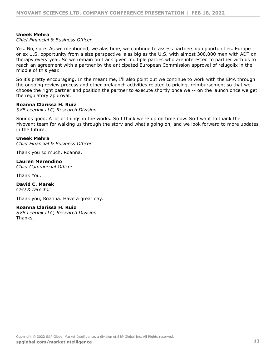$, * "8" 2%!$ 

=  $\begin{array}{ccccccc} 1 & E & 0 & 1 & 96 & 8 & 96 \\ 0 & 3 & 1 & 0 & 8 & * \\ 0 & 0 & 0 & 8 & * \\ 0 & 0 & 0 & 8 & * \end{array}$  $\begin{matrix} &\circ &\circ\\ &\circ &\circ\\ &\circ &\circ\end{matrix}$  $\begin{matrix} 0 & 0 \\ 0 & 0 \end{matrix}$ & %  $\mathbf{H}^{\mathrm{max}}$ &  $\frac{1}{\%}$   $\frac{1}{\%}$  & &  $\overline{a}$  $( )$  %  $( )$  % % 0 "  $)$  $\sqrt{2}$  $\begin{array}{cccc} \hspace{-0.6cm} & & & & \\ \hspace{-0.6cm} & & & & \\ \hspace{-0.6cm} & & & & \\ \hspace{-0.6cm} & & & & \\ \hspace{-0.6cm} & & & & \\ \hspace{-0.6cm} & & & & \\ \hspace{-0.6cm} & & & & \\ \hspace{-0.6cm} & & & & \\ \hspace{-0.6cm} & & & & \\ \hspace{-0.6cm} & & & & \\ \hspace{-0.6cm} & & & & \\ \hspace{-0.6cm} & & & & \\ \hspace{-0.6cm} & & & & \\ \hspace{-0.6cm} & & & & \\ \hspace{-0.6cm} & & & & \\ \hspace$ & ) &  $\%$  $\frac{9}{6}$  $\sim 10^{-10}$  $\overline{\phantom{a}}$  $!$ \*\*!!%)!3 0)4 )  $\frac{1}{8}$  % )  $\frac{9}{6}$  $\%$  !  $\frac{\%}{\%}$  ( ) &  $%$  $\%$  $%$  $\%$ & )  $\begin{array}{c} \mathbf{8} \\ \hline \end{array}$  $, * "8" '2\%!$  $(1)$   $(8)$   $(1)$   $(1)$  $10\%$ '\* '%'\*.)\*  $\qquad \qquad = \qquad$  $\vert \cdot \rangle$ .  $\vert \% \vert$  &  $\frac{1}{2}$   $\frac{1}{2}$   $\frac{1}{2}$   $\frac{1}{2}$   $\frac{1}{2}$   $\frac{1}{2}$   $\frac{1}{2}$   $\frac{1}{2}$   $\frac{1}{2}$   $\frac{1}{2}$   $\frac{1}{2}$   $\frac{1}{2}$   $\frac{1}{2}$   $\frac{1}{2}$   $\frac{1}{2}$   $\frac{1}{2}$   $\frac{1}{2}$   $\frac{1}{2}$   $\frac{1}{2}$   $\frac{1}{2}$   $\frac{1}{2}$   $\frac{1}{2}$   $!$ \*\*!!%)!3 0)4  $\mathbb{Z}^n$  and  $\mathbb{Z}^n$